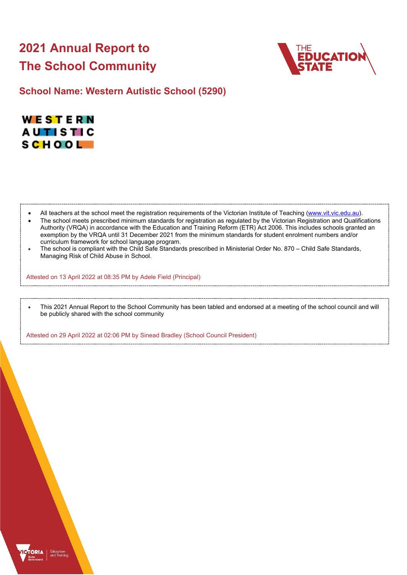# **2021 Annual Report to The School Community**



**School Name: Western Autistic School (5290)**



- All teachers at the school meet the registration requirements of the Victorian Institute of Teaching [\(www.vit.vic.edu.au\)](https://www.vit.vic.edu.au/).
- The school meets prescribed minimum standards for registration as regulated by the Victorian Registration and Qualifications Authority (VRQA) in accordance with the Education and Training Reform (ETR) Act 2006. This includes schools granted an exemption by the VRQA until 31 December 2021 from the minimum standards for student enrolment numbers and/or curriculum framework for school language program.
- The school is compliant with the Child Safe Standards prescribed in Ministerial Order No. 870 Child Safe Standards, Managing Risk of Child Abuse in School.

Attested on 13 April 2022 at 08:35 PM by Adele Field (Principal)

• This 2021 Annual Report to the School Community has been tabled and endorsed at a meeting of the school council and will be publicly shared with the school community

Attested on 29 April 2022 at 02:06 PM by Sinead Bradley (School Council President)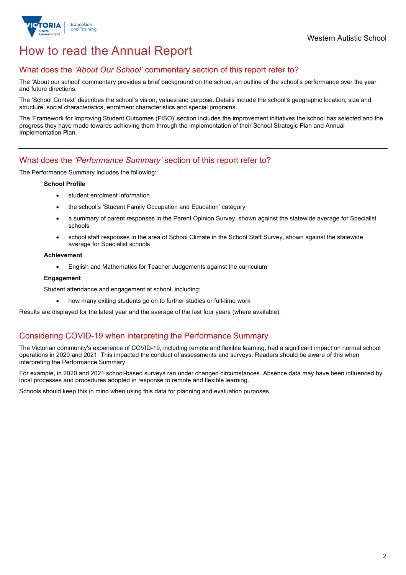

## How to read the Annual Report

## What does the *'About Our School'* commentary section of this report refer to?

The 'About our school' commentary provides a brief background on the school, an outline of the school's performance over the year and future directions.

The 'School Context' describes the school's vision, values and purpose. Details include the school's geographic location, size and structure, social characteristics, enrolment characteristics and special programs.

The 'Framework for Improving Student Outcomes (FISO)' section includes the improvement initiatives the school has selected and the progress they have made towards achieving them through the implementation of their School Strategic Plan and Annual Implementation Plan.

## What does the *'Performance Summary'* section of this report refer to?

The Performance Summary includes the following:

### **School Profile**

- student enrolment information
- the school's 'Student Family Occupation and Education' category
- a summary of parent responses in the Parent Opinion Survey, shown against the statewide average for Specialist schools
- school staff responses in the area of School Climate in the School Staff Survey, shown against the statewide average for Specialist schools

### **Achievement**

• English and Mathematics for Teacher Judgements against the curriculum

### **Engagement**

Student attendance and engagement at school, including:

• how many exiting students go on to further studies or full-time work

Results are displayed for the latest year and the average of the last four years (where available).

## Considering COVID-19 when interpreting the Performance Summary

The Victorian community's experience of COVID-19, including remote and flexible learning, had a significant impact on normal school operations in 2020 and 2021. This impacted the conduct of assessments and surveys. Readers should be aware of this when interpreting the Performance Summary.

For example, in 2020 and 2021 school-based surveys ran under changed circumstances. Absence data may have been influenced by local processes and procedures adopted in response to remote and flexible learning.

Schools should keep this in mind when using this data for planning and evaluation purposes.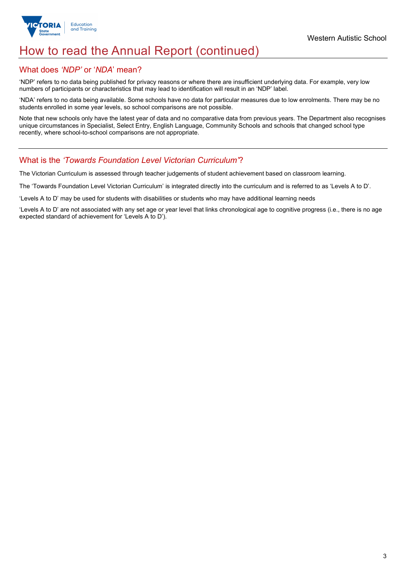

## How to read the Annual Report (continued)

## What does *'NDP'* or '*NDA*' mean?

'NDP' refers to no data being published for privacy reasons or where there are insufficient underlying data. For example, very low numbers of participants or characteristics that may lead to identification will result in an 'NDP' label.

'NDA' refers to no data being available. Some schools have no data for particular measures due to low enrolments. There may be no students enrolled in some year levels, so school comparisons are not possible.

Note that new schools only have the latest year of data and no comparative data from previous years. The Department also recognises unique circumstances in Specialist, Select Entry, English Language, Community Schools and schools that changed school type recently, where school-to-school comparisons are not appropriate.

## What is the *'Towards Foundation Level Victorian Curriculum'*?

The Victorian Curriculum is assessed through teacher judgements of student achievement based on classroom learning.

The 'Towards Foundation Level Victorian Curriculum' is integrated directly into the curriculum and is referred to as 'Levels A to D'.

'Levels A to D' may be used for students with disabilities or students who may have additional learning needs

'Levels A to D' are not associated with any set age or year level that links chronological age to cognitive progress (i.e., there is no age expected standard of achievement for 'Levels A to D').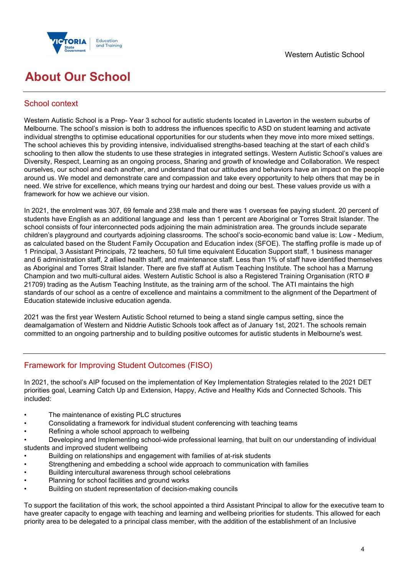



## **About Our School**

## School context

Western Autistic School is a Prep- Year 3 school for autistic students located in Laverton in the western suburbs of Melbourne. The school's mission is both to address the influences specific to ASD on student learning and activate individual strengths to optimise educational opportunities for our students when they move into more mixed settings. The school achieves this by providing intensive, individualised strengths-based teaching at the start of each child's schooling to then allow the students to use these strategies in integrated settings. Western Autistic School's values are Diversity, Respect, Learning as an ongoing process, Sharing and growth of knowledge and Collaboration. We respect ourselves, our school and each another, and understand that our attitudes and behaviors have an impact on the people around us. We model and demonstrate care and compassion and take every opportunity to help others that may be in need. We strive for excellence, which means trying our hardest and doing our best. These values provide us with a framework for how we achieve our vision.

In 2021, the enrolment was 307, 69 female and 238 male and there was 1 overseas fee paying student. 20 percent of students have English as an additional language and less than 1 percent are Aboriginal or Torres Strait Islander. The school consists of four interconnected pods adjoining the main administration area. The grounds include separate children's playground and courtyards adjoining classrooms. The school's socio-economic band value is: Low - Medium, as calculated based on the Student Family Occupation and Education index (SFOE). The staffing profile is made up of 1 Principal, 3 Assistant Principals, 72 teachers, 50 full time equivalent Education Support staff, 1 business manager and 6 administration staff, 2 allied health staff, and maintenance staff. Less than 1% of staff have identified themselves as Aboriginal and Torres Strait Islander. There are five staff at Autism Teaching Institute. The school has a Marrung Champion and two multi-cultural aides. Western Autistic School is also a Registered Training Organisation (RTO # 21709) trading as the Autism Teaching Institute, as the training arm of the school. The ATI maintains the high standards of our school as a centre of excellence and maintains a commitment to the alignment of the Department of Education statewide inclusive education agenda.

2021 was the first year Western Autistic School returned to being a stand single campus setting, since the deamalgamation of Western and Niddrie Autistic Schools took affect as of January 1st, 2021. The schools remain committed to an ongoing partnership and to building positive outcomes for autistic students in Melbourne's west.

## Framework for Improving Student Outcomes (FISO)

In 2021, the school's AIP focused on the implementation of Key Implementation Strategies related to the 2021 DET priorities goal, Learning Catch Up and Extension, Happy, Active and Healthy Kids and Connected Schools. This included:

- The maintenance of existing PLC structures
- Consolidating a framework for individual student conferencing with teaching teams
- Refining a whole school approach to wellbeing

• Developing and Implementing school-wide professional learning, that built on our understanding of individual students and improved student wellbeing

- Building on relationships and engagement with families of at-risk students
- Strengthening and embedding a school wide approach to communication with families
- Building intercultural awareness through school celebrations
- Planning for school facilities and ground works
- Building on student representation of decision-making councils

To support the facilitation of this work, the school appointed a third Assistant Principal to allow for the executive team to have greater capacity to engage with teaching and learning and wellbeing priorities for students. This allowed for each priority area to be delegated to a principal class member, with the addition of the establishment of an Inclusive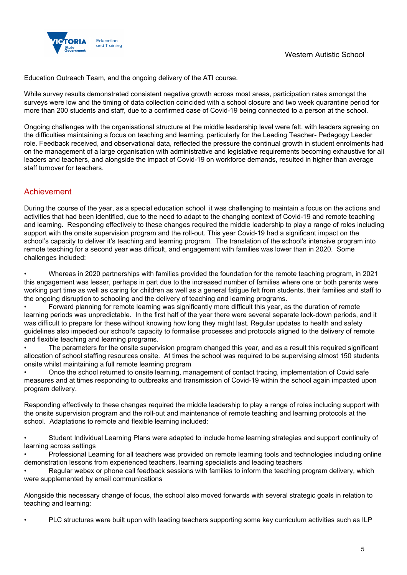

Education Outreach Team, and the ongoing delivery of the ATI course.

While survey results demonstrated consistent negative growth across most areas, participation rates amongst the surveys were low and the timing of data collection coincided with a school closure and two week quarantine period for more than 200 students and staff, due to a confirmed case of Covid-19 being connected to a person at the school.

Ongoing challenges with the organisational structure at the middle leadership level were felt, with leaders agreeing on the difficulties maintaining a focus on teaching and learning, particularly for the Leading Teacher- Pedagogy Leader role. Feedback received, and observational data, reflected the pressure the continual growth in student enrolments had on the management of a large organisation with administrative and legislative requirements becoming exhaustive for all leaders and teachers, and alongside the impact of Covid-19 on workforce demands, resulted in higher than average staff turnover for teachers.

## Achievement

During the course of the year, as a special education school it was challenging to maintain a focus on the actions and activities that had been identified, due to the need to adapt to the changing context of Covid-19 and remote teaching and learning. Responding effectively to these changes required the middle leadership to play a range of roles including support with the onsite supervision program and the roll-out. This year Covid-19 had a significant impact on the school's capacity to deliver it's teaching and learning program. The translation of the school's intensive program into remote teaching for a second year was difficult, and engagement with families was lower than in 2020. Some challenges included:

• Whereas in 2020 partnerships with families provided the foundation for the remote teaching program, in 2021 this engagement was lesser, perhaps in part due to the increased number of families where one or both parents were working part time as well as caring for children as well as a general fatigue felt from students, their families and staff to the ongoing disruption to schooling and the delivery of teaching and learning programs.

• Forward planning for remote learning was significantly more difficult this year, as the duration of remote learning periods was unpredictable. In the first half of the year there were several separate lock-down periods, and it was difficult to prepare for these without knowing how long they might last. Regular updates to health and safety guidelines also impeded our school's capacity to formalise processes and protocols aligned to the delivery of remote and flexible teaching and learning programs.

• The parameters for the onsite supervision program changed this year, and as a result this required significant allocation of school staffing resources onsite. At times the school was required to be supervising almost 150 students onsite whilst maintaining a full remote learning program

• Once the school returned to onsite learning, management of contact tracing, implementation of Covid safe measures and at times responding to outbreaks and transmission of Covid-19 within the school again impacted upon program delivery.

Responding effectively to these changes required the middle leadership to play a range of roles including support with the onsite supervision program and the roll-out and maintenance of remote teaching and learning protocols at the school. Adaptations to remote and flexible learning included:

• Student Individual Learning Plans were adapted to include home learning strategies and support continuity of learning across settings

• Professional Learning for all teachers was provided on remote learning tools and technologies including online demonstration lessons from experienced teachers, learning specialists and leading teachers

• Regular webex or phone call feedback sessions with families to inform the teaching program delivery, which were supplemented by email communications

Alongside this necessary change of focus, the school also moved forwards with several strategic goals in relation to teaching and learning:

• PLC structures were built upon with leading teachers supporting some key curriculum activities such as ILP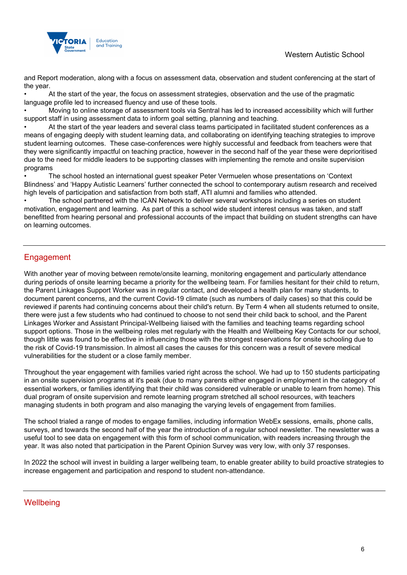

and Report moderation, along with a focus on assessment data, observation and student conferencing at the start of the year.

• At the start of the year, the focus on assessment strategies, observation and the use of the pragmatic language profile led to increased fluency and use of these tools.

• Moving to online storage of assessment tools via Sentral has led to increased accessibility which will further support staff in using assessment data to inform goal setting, planning and teaching.

• At the start of the year leaders and several class teams participated in facilitated student conferences as a means of engaging deeply with student learning data, and collaborating on identifying teaching strategies to improve student learning outcomes. These case-conferences were highly successful and feedback from teachers were that they were significantly impactful on teaching practice, however in the second half of the year these were deprioritised due to the need for middle leaders to be supporting classes with implementing the remote and onsite supervision programs

• The school hosted an international guest speaker Peter Vermuelen whose presentations on 'Context Blindness' and 'Happy Autistic Learners' further connected the school to contemporary autism research and received high levels of participation and satisfaction from both staff, ATI alumni and families who attended.

• The school partnered with the ICAN Network to deliver several workshops including a series on student motivation, engagement and learning. As part of this a school wide student interest census was taken, and staff benefitted from hearing personal and professional accounts of the impact that building on student strengths can have on learning outcomes.

## **Engagement**

With another year of moving between remote/onsite learning, monitoring engagement and particularly attendance during periods of onsite learning became a priority for the wellbeing team. For families hesitant for their child to return, the Parent Linkages Support Worker was in regular contact, and developed a health plan for many students, to document parent concerns, and the current Covid-19 climate (such as numbers of daily cases) so that this could be reviewed if parents had continuing concerns about their child's return. By Term 4 when all students returned to onsite, there were just a few students who had continued to choose to not send their child back to school, and the Parent Linkages Worker and Assistant Principal-Wellbeing liaised with the families and teaching teams regarding school support options. Those in the wellbeing roles met regularly with the Health and Wellbeing Key Contacts for our school, though little was found to be effective in influencing those with the strongest reservations for onsite schooling due to the risk of Covid-19 transmission. In almost all cases the causes for this concern was a result of severe medical vulnerabilities for the student or a close family member.

Throughout the year engagement with families varied right across the school. We had up to 150 students participating in an onsite supervision programs at it's peak (due to many parents either engaged in employment in the category of essential workers, or families identifying that their child was considered vulnerable or unable to learn from home). This dual program of onsite supervision and remote learning program stretched all school resources, with teachers managing students in both program and also managing the varying levels of engagement from families.

The school trialed a range of modes to engage families, including information WebEx sessions, emails, phone calls, surveys, and towards the second half of the year the introduction of a regular school newsletter. The newsletter was a useful tool to see data on engagement with this form of school communication, with readers increasing through the year. It was also noted that participation in the Parent Opinion Survey was very low, with only 37 responses.

In 2022 the school will invest in building a larger wellbeing team, to enable greater ability to build proactive strategies to increase engagement and participation and respond to student non-attendance.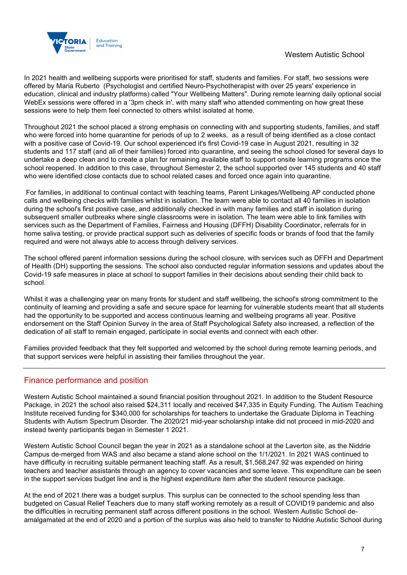

In 2021 health and wellbeing supports were prioritised for staff, students and families. For staff, two sessions were offered by Maria Ruberto (Psychologist and certified Neuro-Psychotherapist with over 25 years' experience in education, clinical and industry platforms) called "Your Wellbeing Matters". During remote learning daily optional social WebEx sessions were offered in a '3pm check in', with many staff who attended commenting on how great these sessions were to help them feel connected to others whilst isolated at home.

Throughout 2021 the school placed a strong emphasis on connecting with and supporting students, families, and staff who were forced into home quarantine for periods of up to 2 weeks, as a result of being identified as a close contact with a positive case of Covid-19. Our school experienced it's first Covid-19 case in August 2021, resulting in 32 students and 117 staff (and all of their families) forced into quarantine, and seeing the school closed for several days to undertake a deep clean and to create a plan for remaining available staff to support onsite learning programs once the school reopened. In addition to this case, throughout Semester 2, the school supported over 145 students and 40 staff who were identified close contacts due to school related cases and forced once again into quarantine.

For families, in additional to continual contact with teaching teams, Parent Linkages/Wellbeing AP conducted phone calls and wellbeing checks with families whilst in isolation. The team were able to contact all 40 families in isolation during the school's first positive case, and additionally checked in with many families and staff in isolation during subsequent smaller outbreaks where single classrooms were in isolation. The team were able to link families with services such as the Department of Families, Fairness and Housing (DFFH) Disability Coordinator, referrals for in home saliva testing, or provide practical support such as deliveries of specific foods or brands of food that the family required and were not always able to access through delivery services.

The school offered parent information sessions during the school closure, with services such as DFFH and Department of Health (DH) supporting the sessions. The school also conducted regular information sessions and updates about the Covid-19 safe measures in place at school to support families in their decisions about sending their child back to school.

Whilst it was a challenging year on many fronts for student and staff wellbeing, the school's strong commitment to the continuity of learning and providing a safe and secure space for learning for vulnerable students meant that all students had the opportunity to be supported and access continuous learning and wellbeing programs all year. Positive endorsement on the Staff Opinion Survey in the area of Staff Psychological Safety also increased, a reflection of the dedication of all staff to remain engaged, participate in social events and connect with each other.

Families provided feedback that they felt supported and welcomed by the school during remote learning periods, and that support services were helpful in assisting their families throughout the year.

## Finance performance and position

Western Autistic School maintained a sound financial position throughout 2021. In addition to the Student Resource Package, in 2021 the school also raised \$24,311 locally and received \$47,335 in Equity Funding. The Autism Teaching Institute received funding for \$340,000 for scholarships for teachers to undertake the Graduate Diploma in Teaching Students with Autism Spectrum Disorder. The 2020/21 mid-year scholarship intake did not proceed in mid-2020 and instead twenty participants began in Semester 1 2021.

Western Autistic School Council began the year in 2021 as a standalone school at the Laverton site, as the Niddrie Campus de-merged from WAS and also became a stand alone school on the 1/1/2021. In 2021 WAS continued to have difficulty in recruiting suitable permanent teaching staff. As a result, \$1,568,247.92 was expended on hiring teachers and teacher assistants through an agency to cover vacancies and some leave. This expenditure can be seen in the support services budget line and is the highest expenditure item after the student resource package.

At the end of 2021 there was a budget surplus. This surplus can be connected to the school spending less than budgeted on Casual Relief Teachers due to many staff working remotely as a result of COVID19 pandemic and also the difficulties in recruiting permanent staff across different positions in the school. Western Autistic School deamalgamated at the end of 2020 and a portion of the surplus was also held to transfer to Niddrie Autistic School during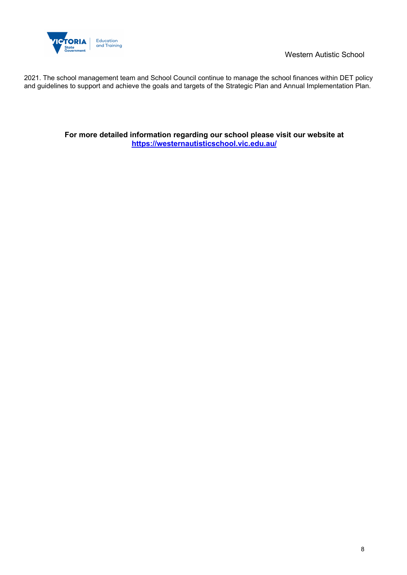

2021. The school management team and School Council continue to manage the school finances within DET policy and guidelines to support and achieve the goals and targets of the Strategic Plan and Annual Implementation Plan.

> **For more detailed information regarding our school please visit our website at <https://westernautisticschool.vic.edu.au/>**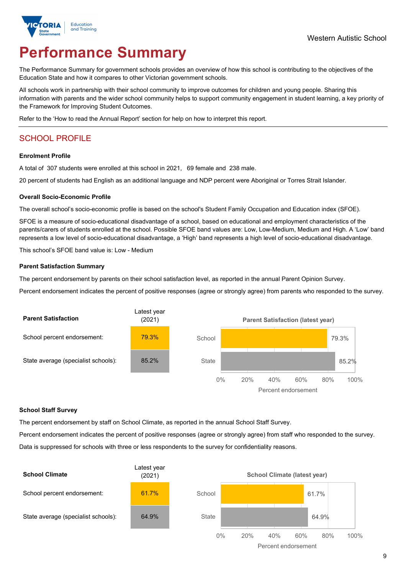

# **Performance Summary**

The Performance Summary for government schools provides an overview of how this school is contributing to the objectives of the Education State and how it compares to other Victorian government schools.

All schools work in partnership with their school community to improve outcomes for children and young people. Sharing this information with parents and the wider school community helps to support community engagement in student learning, a key priority of the Framework for Improving Student Outcomes.

Refer to the 'How to read the Annual Report' section for help on how to interpret this report.

## SCHOOL PROFILE

### **Enrolment Profile**

A total of 307 students were enrolled at this school in 2021, 69 female and 238 male.

20 percent of students had English as an additional language and NDP percent were Aboriginal or Torres Strait Islander.

### **Overall Socio-Economic Profile**

The overall school's socio-economic profile is based on the school's Student Family Occupation and Education index (SFOE).

SFOE is a measure of socio-educational disadvantage of a school, based on educational and employment characteristics of the parents/carers of students enrolled at the school. Possible SFOE band values are: Low, Low-Medium, Medium and High. A 'Low' band represents a low level of socio-educational disadvantage, a 'High' band represents a high level of socio-educational disadvantage.

This school's SFOE band value is: Low - Medium

### **Parent Satisfaction Summary**

The percent endorsement by parents on their school satisfaction level, as reported in the annual Parent Opinion Survey.

Percent endorsement indicates the percent of positive responses (agree or strongly agree) from parents who responded to the survey.



### **School Staff Survey**

The percent endorsement by staff on School Climate, as reported in the annual School Staff Survey.

Percent endorsement indicates the percent of positive responses (agree or strongly agree) from staff who responded to the survey. Data is suppressed for schools with three or less respondents to the survey for confidentiality reasons.



9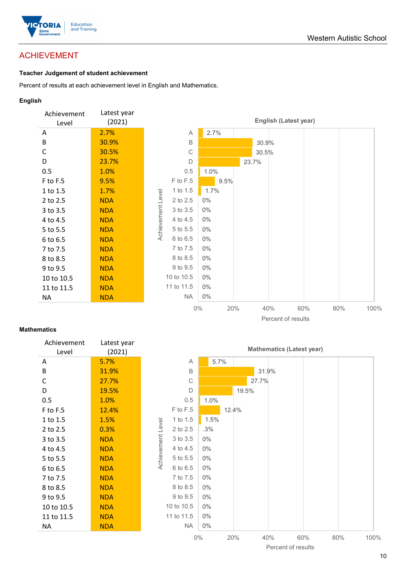

## ACHIEVEMENT

### **Teacher Judgement of student achievement**

Percent of results at each achievement level in English and Mathematics.

### **English**



### **Mathematics**

| Achievement<br>Level | Latest year<br>(2021) |
|----------------------|-----------------------|
| Α                    | 5.7%                  |
| B                    | 31.9%                 |
| C                    | 27.7%                 |
| D                    | 19.5%                 |
| 0.5                  | 1.0%                  |
| F to F.5             | 12.4%                 |
| 1 to 1.5             | 1.5%                  |
| 2 to 2.5             | 0.3%                  |
| 3 to 3.5             | <b>NDA</b>            |
| 4 to 4.5             | NDA                   |
| 5 to 5.5             | NDA                   |
| 6 to 6.5             | NDA                   |
| 7 to 7.5             | NDA                   |
| 8 to 8.5             | NDA                   |
| 9 to 9.5             | NDA                   |
| 10 to 10.5           | NDA                   |
| 11 to 11.5           | NDA                   |
| NΑ                   | NDA                   |
|                      |                       |

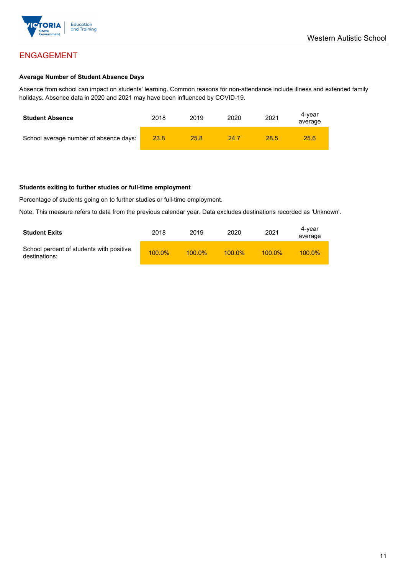

## ENGAGEMENT

### **Average Number of Student Absence Days**

Absence from school can impact on students' learning. Common reasons for non-attendance include illness and extended family holidays. Absence data in 2020 and 2021 may have been influenced by COVID-19.

| <b>Student Absence</b>                 | 2018 | 2019 | 2020 | 2021 | 4-vear<br>average |
|----------------------------------------|------|------|------|------|-------------------|
| School average number of absence days: | 23.8 | 25.8 | 24.7 | 28.5 | 25.6              |

### **Students exiting to further studies or full-time employment**

Percentage of students going on to further studies or full-time employment.

Note: This measure refers to data from the previous calendar year. Data excludes destinations recorded as 'Unknown'.

| <b>Student Exits</b>                                      | 2018      | 2019      | 2020      | 2021      | 4-year<br>average |
|-----------------------------------------------------------|-----------|-----------|-----------|-----------|-------------------|
| School percent of students with positive<br>destinations: | $100.0\%$ | $100.0\%$ | $100.0\%$ | $100.0\%$ | $100.0\%$         |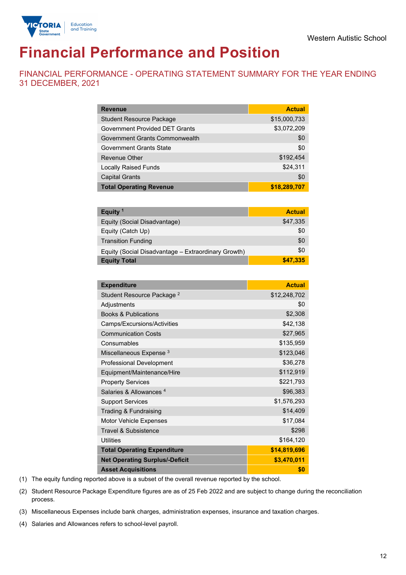



# **Financial Performance and Position**

FINANCIAL PERFORMANCE - OPERATING STATEMENT SUMMARY FOR THE YEAR ENDING 31 DECEMBER, 2021

| <b>Revenue</b>                        | <b>Actual</b> |
|---------------------------------------|---------------|
| <b>Student Resource Package</b>       | \$15,000,733  |
| <b>Government Provided DET Grants</b> | \$3,072,209   |
| Government Grants Commonwealth        | \$0           |
| <b>Government Grants State</b>        | \$0           |
| Revenue Other                         | \$192,454     |
| <b>Locally Raised Funds</b>           | \$24,311      |
| <b>Capital Grants</b>                 | \$0           |
| <b>Total Operating Revenue</b>        | \$18,289,707  |

| Equity <sup>1</sup>                                 | <b>Actual</b> |
|-----------------------------------------------------|---------------|
| Equity (Social Disadvantage)                        | \$47,335      |
| Equity (Catch Up)                                   | \$0           |
| <b>Transition Funding</b>                           | \$0           |
| Equity (Social Disadvantage - Extraordinary Growth) | \$0           |
| <b>Equity Total</b>                                 | \$47,335      |

| <b>Expenditure</b>                    | <b>Actual</b> |
|---------------------------------------|---------------|
| Student Resource Package <sup>2</sup> | \$12,248,702  |
| Adjustments                           | \$0           |
| <b>Books &amp; Publications</b>       | \$2,308       |
| Camps/Excursions/Activities           | \$42,138      |
| <b>Communication Costs</b>            | \$27,965      |
| Consumables                           | \$135,959     |
| Miscellaneous Expense <sup>3</sup>    | \$123,046     |
| <b>Professional Development</b>       | \$36,278      |
| Equipment/Maintenance/Hire            | \$112,919     |
| <b>Property Services</b>              | \$221,793     |
| Salaries & Allowances <sup>4</sup>    | \$96,383      |
| <b>Support Services</b>               | \$1,576,293   |
| Trading & Fundraising                 | \$14,409      |
| Motor Vehicle Expenses                | \$17,084      |
| <b>Travel &amp; Subsistence</b>       | \$298         |
| <b>Utilities</b>                      | \$164,120     |
| <b>Total Operating Expenditure</b>    | \$14,819,696  |
| <b>Net Operating Surplus/-Deficit</b> | \$3,470,011   |
| <b>Asset Acquisitions</b>             | \$0           |

(1) The equity funding reported above is a subset of the overall revenue reported by the school.

(2) Student Resource Package Expenditure figures are as of 25 Feb 2022 and are subject to change during the reconciliation process.

(3) Miscellaneous Expenses include bank charges, administration expenses, insurance and taxation charges.

(4) Salaries and Allowances refers to school-level payroll.